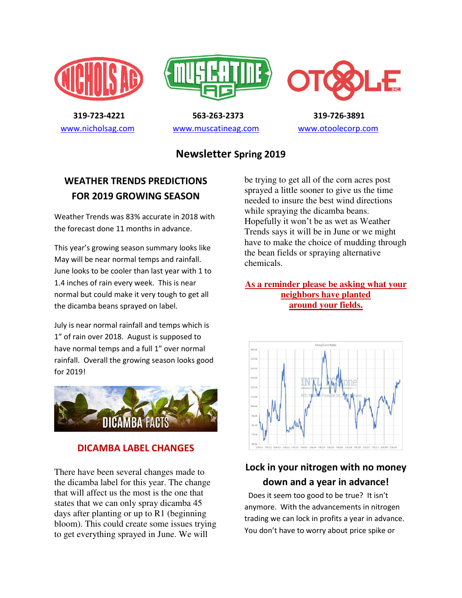





 **319-723-4221 563-263-2373 319-726-3891**  [www.nicholsag.com](http://www.nicholsag.com/) [www.muscatineag.com](http://www.muscatineag.com/) [www.otoolecorp.com](http://www.otoolecorp.com/)

## **Newsletter Spring 2019**

## **WEATHER TRENDS PREDICTIONS FOR 2019 GROWING SEASON**

Weather Trends was 83% accurate in 2018 with the forecast done 11 months in advance.

This year's growing season summary looks like May will be near normal temps and rainfall. June looks to be cooler than last year with 1 to 1.4 inches of rain every week. This is near normal but could make it very tough to get all the dicamba beans sprayed on label.

July is near normal rainfall and temps which is 1" of rain over 2018. August is supposed to have normal temps and a full 1" over normal rainfall. Overall the growing season looks good for 2019!



### **DICAMBA LABEL CHANGES**

There have been several changes made to the dicamba label for this year. The change that will affect us the most is the one that states that we can only spray dicamba 45 days after planting or up to R1 (beginning bloom). This could create some issues trying to get everything sprayed in June. We will

be trying to get all of the corn acres post sprayed a little sooner to give us the time needed to insure the best wind directions while spraying the dicamba beans. Hopefully it won't be as wet as Weather Trends says it will be in June or we might have to make the choice of mudding through the bean fields or spraying alternative chemicals.

#### **As a reminder please be asking what your neighbors have planted around your fields.**



# **Lock in your nitrogen with no money down and a year in advance!**

 Does it seem too good to be true? It isn't anymore. With the advancements in nitrogen trading we can lock in profits a year in advance. You don't have to worry about price spike or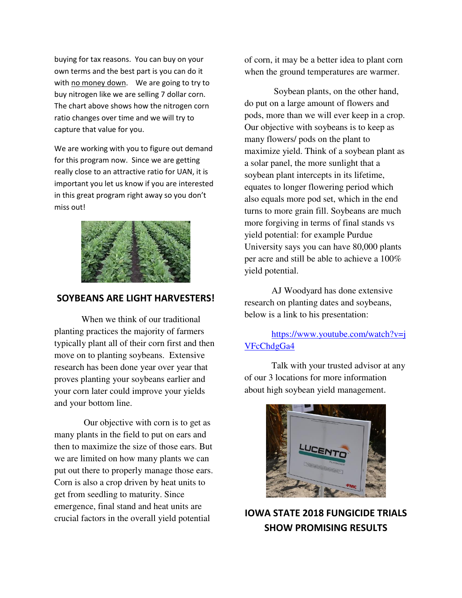buying for tax reasons. You can buy on your own terms and the best part is you can do it with no money down. We are going to try to buy nitrogen like we are selling 7 dollar corn. The chart above shows how the nitrogen corn ratio changes over time and we will try to capture that value for you.

We are working with you to figure out demand for this program now. Since we are getting really close to an attractive ratio for UAN, it is important you let us know if you are interested in this great program right away so you don't miss out!



#### **SOYBEANS ARE LIGHT HARVESTERS!**

When we think of our traditional planting practices the majority of farmers typically plant all of their corn first and then move on to planting soybeans. Extensive research has been done year over year that proves planting your soybeans earlier and your corn later could improve your yields and your bottom line.

 Our objective with corn is to get as many plants in the field to put on ears and then to maximize the size of those ears. But we are limited on how many plants we can put out there to properly manage those ears. Corn is also a crop driven by heat units to get from seedling to maturity. Since emergence, final stand and heat units are crucial factors in the overall yield potential

of corn, it may be a better idea to plant corn when the ground temperatures are warmer.

 Soybean plants, on the other hand, do put on a large amount of flowers and pods, more than we will ever keep in a crop. Our objective with soybeans is to keep as many flowers/ pods on the plant to maximize yield. Think of a soybean plant as a solar panel, the more sunlight that a soybean plant intercepts in its lifetime, equates to longer flowering period which also equals more pod set, which in the end turns to more grain fill. Soybeans are much more forgiving in terms of final stands vs yield potential: for example Purdue University says you can have 80,000 plants per acre and still be able to achieve a 100% yield potential.

AJ Woodyard has done extensive research on planting dates and soybeans, below is a link to his presentation:

### [https://www.youtube.com/watch?v=j](https://www.youtube.com/watch?v=jVFcChdgGa4) [VFcChdgGa4](https://www.youtube.com/watch?v=jVFcChdgGa4)

 Talk with your trusted advisor at any of our 3 locations for more information about high soybean yield management.



# **IOWA STATE 2018 FUNGICIDE TRIALS SHOW PROMISING RESULTS**